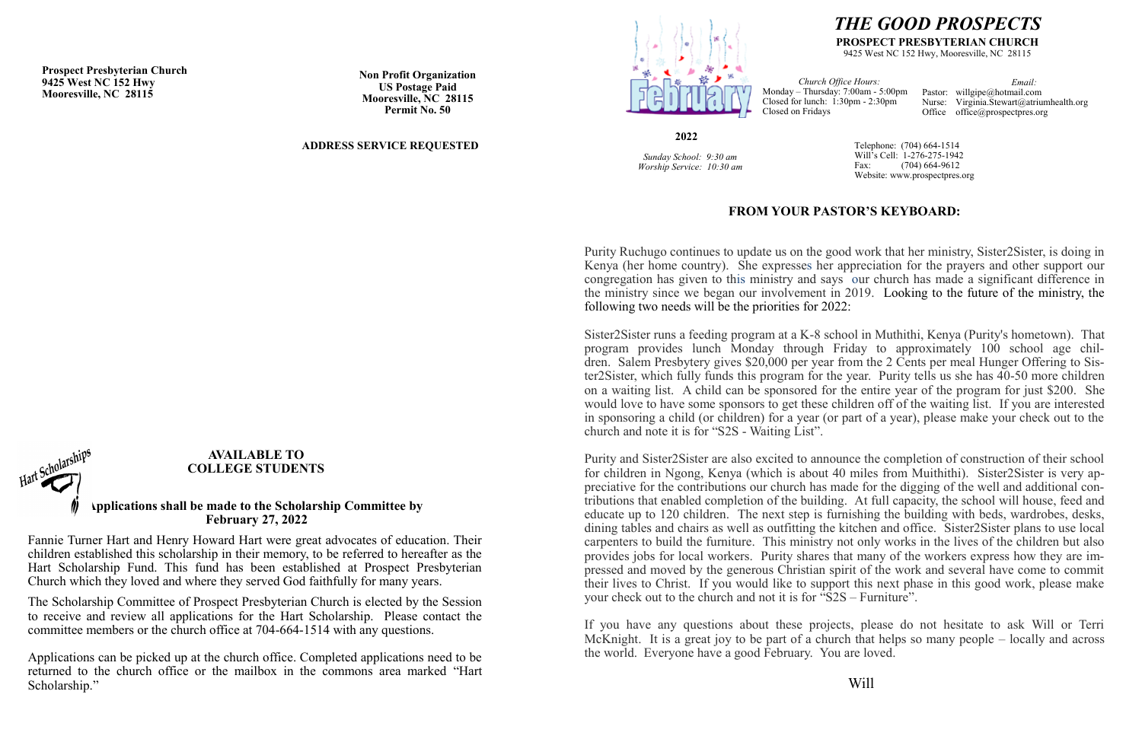# *THE GOOD PROSPECTS*

#### **PROSPECT PRESBYTERIAN CHURCH**

9425 West NC 152 Hwy, Mooresville, NC 28115

*Church Office Hours:* Monday – Thursday: 7:00am - 5:00pm Closed for lunch: 1:30pm - 2:30pm Closed on Fridays *Email:* Pastor: willgipe@hotmail.com Nurse: Virginia.Stewart@atriumhealth.org Office office@prospectpres.org

**2022**

*Sunday School: 9:30 am Worship Service: 10:30 am*  Telephone: (704) 664-1514 Will's Cell: 1-276-275-1942 Fax: (704) 664-9612 Website: www.prospectpres.org

**Prospect Presbyterian Church 9425 West NC 152 Hwy Mooresville, NC 28115**

**Non Profit Organization US Postage Paid Mooresville, NC 28115 Permit No. 50**

#### **ADDRESS SERVICE REQUESTED**



#### **AVAILABLE TO COLLEGE STUDENTS**

#### **Applications shall be made to the Scholarship Committee by February 27, 2022**

Fannie Turner Hart and Henry Howard Hart were great advocates of education. Their children established this scholarship in their memory, to be referred to hereafter as the Hart Scholarship Fund. This fund has been established at Prospect Presbyterian Church which they loved and where they served God faithfully for many years.

The Scholarship Committee of Prospect Presbyterian Church is elected by the Session to receive and review all applications for the Hart Scholarship. Please contact the committee members or the church office at 704-664-1514 with any questions.

Applications can be picked up at the church office. Completed applications need to be returned to the church office or the mailbox in the commons area marked "Hart Scholarship."

## **FROM YOUR PASTOR'S KEYBOARD:**

Purity Ruchugo continues to update us on the good work that her ministry, Sister2Sister, is doing in Kenya (her home country). She expresses her appreciation for the prayers and other support our congregation has given to this ministry and says our church has made a significant difference in the ministry since we began our involvement in 2019. Looking to the future of the ministry, the following two needs will be the priorities for 2022:

Sister2Sister runs a feeding program at a K-8 school in Muthithi, Kenya (Purity's hometown). That program provides lunch Monday through Friday to approximately 100 school age children. Salem Presbytery gives \$20,000 per year from the 2 Cents per meal Hunger Offering to Sister2Sister, which fully funds this program for the year. Purity tells us she has 40-50 more children on a waiting list. A child can be sponsored for the entire year of the program for just \$200. She would love to have some sponsors to get these children off of the waiting list. If you are interested in sponsoring a child (or children) for a year (or part of a year), please make your check out to the church and note it is for "S2S - Waiting List".

Purity and Sister2Sister are also excited to announce the completion of construction of their school for children in Ngong, Kenya (which is about 40 miles from Muithithi). Sister2Sister is very appreciative for the contributions our church has made for the digging of the well and additional contributions that enabled completion of the building. At full capacity, the school will house, feed and educate up to 120 children. The next step is furnishing the building with beds, wardrobes, desks, dining tables and chairs as well as outfitting the kitchen and office. Sister2Sister plans to use local carpenters to build the furniture. This ministry not only works in the lives of the children but also provides jobs for local workers. Purity shares that many of the workers express how they are impressed and moved by the generous Christian spirit of the work and several have come to commit their lives to Christ. If you would like to support this next phase in this good work, please make your check out to the church and not it is for "S2S – Furniture".

If you have any questions about these projects, please do not hesitate to ask Will or Terri McKnight. It is a great joy to be part of a church that helps so many people – locally and across the world. Everyone have a good February. You are loved.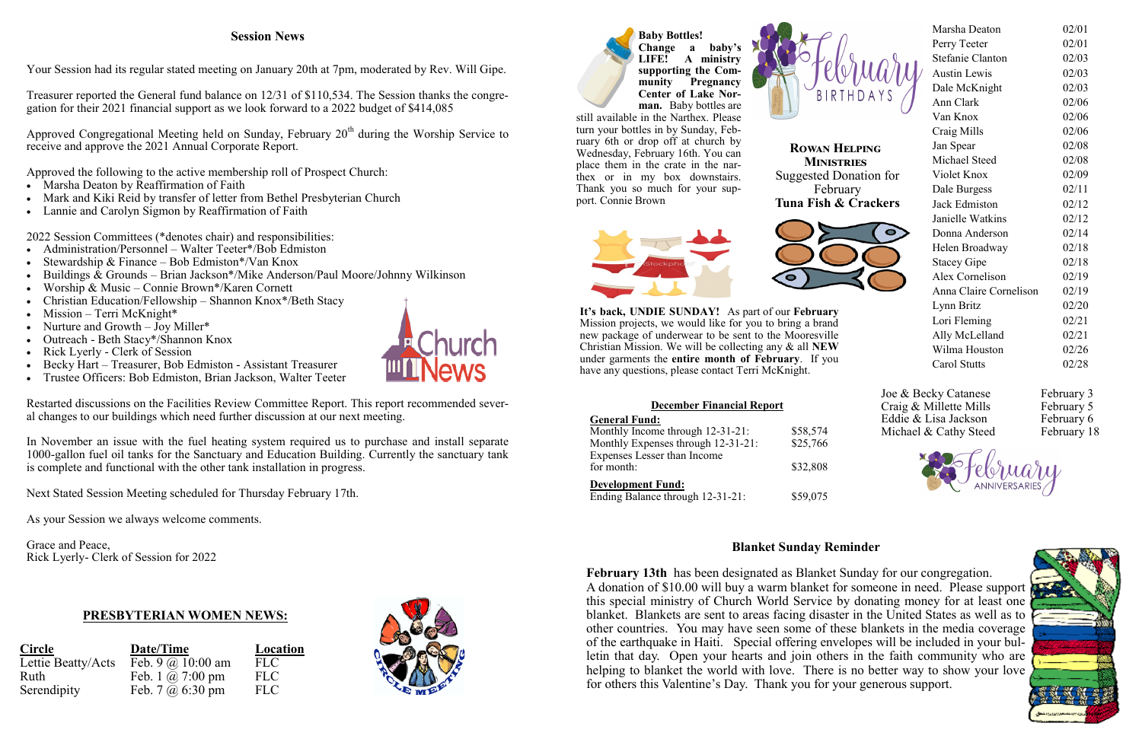### **Blanket Sunday Reminder**

**It's back, UNDIE SUNDAY!** As part of our **February** Mission projects, we would like for you to bring a brand new package of underwear to be sent to the Mooresville Christian Mission. We will be collecting any & all **NEW** under garments the **entire month of February**. If you have any questions, please contact Terri McKnight.

**February 13th** has been designated as Blanket Sunday for our congregation. A donation of \$10.00 will buy a warm blanket for someone in need. Please support this special ministry of Church World Service by donating money for at least one blanket. Blankets are sent to areas facing disaster in the United States as well as to other countries. You may have seen some of these blankets in the media coverage of the earthquake in Haiti. Special offering envelopes will be included in your bulletin that day. Open your hearts and join others in the faith community who are helping to blanket the world with love. There is no better way to show your love for others this Valentine's Day. Thank you for your generous support.



## **PRESBYTERIAN WOMEN NEWS:**

| <b>Circle</b>      | Date/Time                         | Location   |
|--------------------|-----------------------------------|------------|
| Lettie Beatty/Acts | Feb. 9 $\omega$ 10:00 am          | <b>FLC</b> |
| Ruth               | Feb. 1 $\omega$ 7:00 pm           | <b>FLC</b> |
| Serendipity        | Feb. $7 \omega_0 6:30 \text{ pm}$ | <b>FLC</b> |





Approved Congregational Meeting held on Sunday, February  $20<sup>th</sup>$  during the Worship Service to receive and approve the 2021 Annual Corporate Report.

- Marsha Deaton by Reaffirmation of Faith
- Mark and Kiki Reid by transfer of letter from Bethel Presbyterian Church
- Lannie and Carolyn Sigmon by Reaffirmation of Faith

| Marsha Deaton          | 02/01 |
|------------------------|-------|
| Perry Teeter           | 02/01 |
| Stefanie Clanton       | 02/03 |
| <b>Austin Lewis</b>    | 02/03 |
| Dale McKnight          | 02/03 |
| Ann Clark              | 02/06 |
| Van Knox               | 02/06 |
| Craig Mills            | 02/06 |
| Jan Spear              | 02/08 |
| Michael Steed          | 02/08 |
| Violet Knox            | 02/09 |
| Dale Burgess           | 02/11 |
| Jack Edmiston          | 02/12 |
| Janielle Watkins       | 02/12 |
| Donna Anderson         | 02/14 |
| Helen Broadway         | 02/18 |
| <b>Stacey Gipe</b>     | 02/18 |
| Alex Cornelison        | 02/19 |
| Anna Claire Cornelison | 02/19 |
| Lynn Britz             | 02/20 |
| Lori Fleming           | 02/21 |
| Ally McLelland         | 02/21 |
| Wilma Houston          | 02/26 |
| Carol Stutts           | 02/28 |

Joe & Becky Catanese February 3 Craig & Millette Mills February 5 Eddie & Lisa Jackson February 6 Michael & Cathy Steed February 18





- Administration/Personnel Walter Teeter\*/Bob Edmiston
- Stewardship & Finance Bob Edmiston\*/Van Knox
- Buildings  $\&$  Grounds Brian Jackson\*/Mike Anderson/Paul Moore/Johnny Wilkinson
- Worship & Music Connie Brown\*/Karen Cornett
- Christian Education/Fellowship Shannon Knox\*/Beth Stacy
- Mission Terri McKnight\*
- Nurture and Growth Joy Miller\*
- Outreach Beth Stacy\*/Shannon Knox
- Rick Lyerly Clerk of Session
- Becky Hart Treasurer, Bob Edmiston Assistant Treasurer
- Trustee Officers: Bob Edmiston, Brian Jackson, Walter Teeter

**Rowan Helping Ministries** Suggested Donation for February **Tuna Fish & Crackers**





#### **December Financial Report**

#### **General Fund:**

| Schefal I and:                     |          |
|------------------------------------|----------|
| Monthly Income through 12-31-21:   | \$58,574 |
| Monthly Expenses through 12-31-21: | \$25,766 |
| Expenses Lesser than Income        |          |
| for month:                         | \$32,808 |
| <b>Development Fund:</b>           |          |
| Ending Balance through 12-31-21:   | \$59,075 |

### **Session News**

Your Session had its regular stated meeting on January 20th at 7pm, moderated by Rev. Will Gipe.

Treasurer reported the General fund balance on 12/31 of \$110,534. The Session thanks the congregation for their 2021 financial support as we look forward to a 2022 budget of \$414,085

Approved the following to the active membership roll of Prospect Church:

2022 Session Committees (\*denotes chair) and responsibilities:

Restarted discussions on the Facilities Review Committee Report. This report recommended several changes to our buildings which need further discussion at our next meeting.

In November an issue with the fuel heating system required us to purchase and install separate 1000-gallon fuel oil tanks for the Sanctuary and Education Building. Currently the sanctuary tank is complete and functional with the other tank installation in progress.

Next Stated Session Meeting scheduled for Thursday February 17th.

As your Session we always welcome comments.

Grace and Peace, Rick Lyerly- Clerk of Session for 2022

**Baby Bottles! Change a baby's LIFE! A ministry supporting the Community Pregnancy Center of Lake Norman.** Baby bottles are

still available in the Narthex. Please turn your bottles in by Sunday, February 6th or drop off at church by Wednesday, February 16th. You can place them in the crate in the narthex or in my box downstairs. Thank you so much for your support. Connie Brown

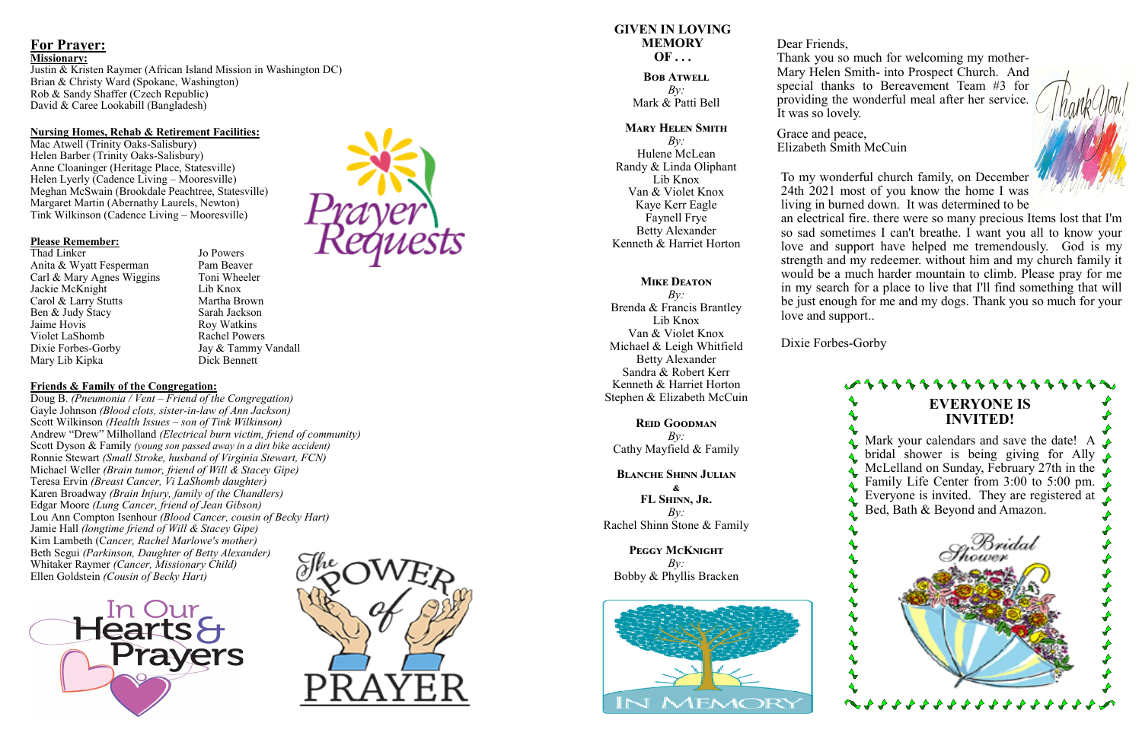## **For Prayer:**

#### **Missionary:**

Justin & Kristen Raymer (African Island Mission in Washington DC) Brian & Christy Ward (Spokane, Washington) Rob & Sandy Shaffer (Czech Republic) David & Caree Lookabill (Bangladesh)

#### **Nursing Homes, Rehab & Retirement Facilities:**

Thad Linker Jo Powers Anita & Wyatt Fesperman Pam Beaver Carl & Mary Agnes Wiggins Toni Wheeler Jackie McKnight Lib Knox Carol & Larry Stutts Ben & Judy Stacy Sarah Jackson<br>Jaime Hovis Rov Watkins Violet LaShomb Rachel Powers Dixie Forbes-Gorby Mary Lib Kipka Dick Bennett

Roy Watkins Jay & Tammy Vandall

Mac Atwell (Trinity Oaks -Salisbury) Helen Barber (Trinity Oaks -Salisbury) Anne Cloaninger (Heritage Place, Statesville) Helen Lyerly (Cadence Living – Mooresville) Meghan McSwain (Brookdale Peachtree, Statesville) Margaret Martin (Abernathy Laurels, Newton) Tink Wilkinson (Cadence Living – Mooresville)

#### **Please Remember:**

#### **Friends & Family of the Congregation:**

Doug B. *(Pneumonia / Vent – Friend of the Congregation)* Gayle Johnson *(Blood clots, sister -in -law of Ann Jackson)* Scott Wilkinson *(Health Issues – son of Tink Wilkinson)* Andrew "Drew" Milholland *(Electrical burn victim, friend of community)* Scott Dyson & Family *(young son passed away in a dirt bike accident)* Ronnie Stewart *(Small Stroke, husband of Virginia Stewart, FCN)* Michael Weller *(Brain tumor, friend of Will & Stacey Gipe)* Teresa Ervin *(Breast Cancer, Vi LaShomb daughter)* Karen Broadway *(Brain Injury, family of the Chandlers)* Edgar Moore *(Lung Cancer, friend of Jean Gibson)* Lou Ann Compton Isenhour *(Blood Cancer, cousin of Becky Hart)* Jamie Hall *(longtime friend of Will & Stacey Gipe)* Kim Lambeth (C*ancer, Rachel Marlowe's mother)* Beth Segui *(Parkinson, Daughter of Betty Alexander)* Whitaker Raymer *(Cancer, Missionary Child)* Ellen Goldstein *(Cousin of Becky Hart)*





#### **GIVEN IN LOVING MEMORY OF . . .**

**Bob Atwell** *By:* Mark & Patti Bell

#### **Mary Helen Smith**

*By:* Hulene McLean Randy & Linda Oliphant Lib Knox Van & Violet Knox Kaye Kerr Eagle Faynell Frye Betty Alexander Kenneth & Harriet Horton

#### **MIKE DEATON**

*By:* Brenda & Francis Brantley Lib Knox Van & Violet Knox Michael & Leigh Whitfield Betty Alexander Sandra & Robert Kerr Kenneth & Harriet Horton Stephen & Elizabeth McCuin

**Reid Goodman** *By:* Cathy Mayfield & Family

**Blanche Shinn Julian & FL Shinn, Jr.**

*By:* Rachel Shinn Stone & Family

**Peggy McKnight** *By:* Bobby & Phyllis Bracken



Dear Friends,

Thank you so much for welcoming my mother - Mary Helen Smith - into Prospect Church. And special thanks to Bereavement Team #3 for providing the wonderful meal after her service. It was so lovely.

Grace and peace, Elizabeth Smith McCuin

To my wonderful church family, on December 24th 2021 most of you know the home I was living in burned down. It was determined to be an electrical fire. there were so many precious Items lost that I'm so sad sometimes I can't breathe. I want you all to know your love and support have helped me tremendously. God is my strength and my redeemer. without him and my church family it would be a much harder mountain to climb. Please pray for me in my search for a place to live that I'll find something that will be just enough for me and my dogs. Thank you so much for your love and support..

Dixie Forbes -Gorby